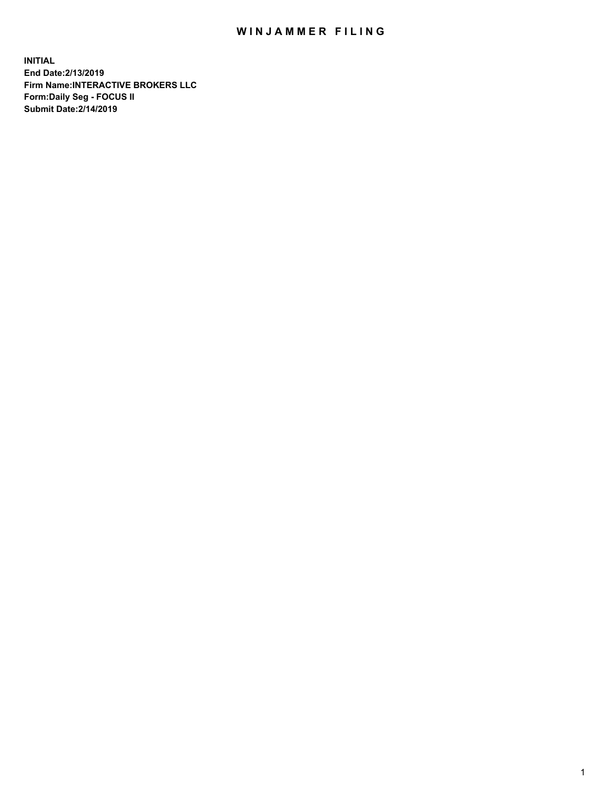## WIN JAMMER FILING

**INITIAL End Date:2/13/2019 Firm Name:INTERACTIVE BROKERS LLC Form:Daily Seg - FOCUS II Submit Date:2/14/2019**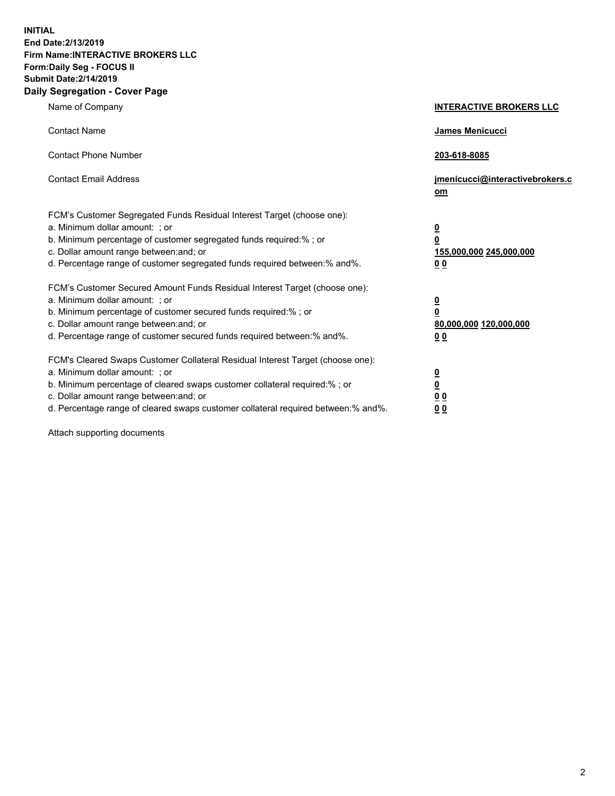**INITIAL End Date:2/13/2019 Firm Name:INTERACTIVE BROKERS LLC Form:Daily Seg - FOCUS II Submit Date:2/14/2019 Daily Segregation - Cover Page**

| Name of Company                                                                                                                                                                                                                                                                                                                | <b>INTERACTIVE BROKERS LLC</b>                                                                           |
|--------------------------------------------------------------------------------------------------------------------------------------------------------------------------------------------------------------------------------------------------------------------------------------------------------------------------------|----------------------------------------------------------------------------------------------------------|
| <b>Contact Name</b>                                                                                                                                                                                                                                                                                                            | James Menicucci                                                                                          |
| <b>Contact Phone Number</b>                                                                                                                                                                                                                                                                                                    | 203-618-8085                                                                                             |
| <b>Contact Email Address</b>                                                                                                                                                                                                                                                                                                   | jmenicucci@interactivebrokers.c<br>om                                                                    |
| FCM's Customer Segregated Funds Residual Interest Target (choose one):<br>a. Minimum dollar amount: ; or<br>b. Minimum percentage of customer segregated funds required:% ; or<br>c. Dollar amount range between: and; or<br>d. Percentage range of customer segregated funds required between:% and%.                         | <u>0</u><br>$\overline{\mathbf{0}}$<br>155,000,000 245,000,000<br>0 <sub>0</sub>                         |
| FCM's Customer Secured Amount Funds Residual Interest Target (choose one):<br>a. Minimum dollar amount: ; or<br>b. Minimum percentage of customer secured funds required:%; or<br>c. Dollar amount range between: and; or<br>d. Percentage range of customer secured funds required between:% and%.                            | <u>0</u><br>$\overline{\mathbf{0}}$<br>80,000,000 120,000,000<br><u>00</u>                               |
| FCM's Cleared Swaps Customer Collateral Residual Interest Target (choose one):<br>a. Minimum dollar amount: ; or<br>b. Minimum percentage of cleared swaps customer collateral required:% ; or<br>c. Dollar amount range between: and; or<br>d. Percentage range of cleared swaps customer collateral required between:% and%. | $\overline{\mathbf{0}}$<br>$\underline{\mathbf{0}}$<br>$\underline{0}$ $\underline{0}$<br>0 <sub>0</sub> |

Attach supporting documents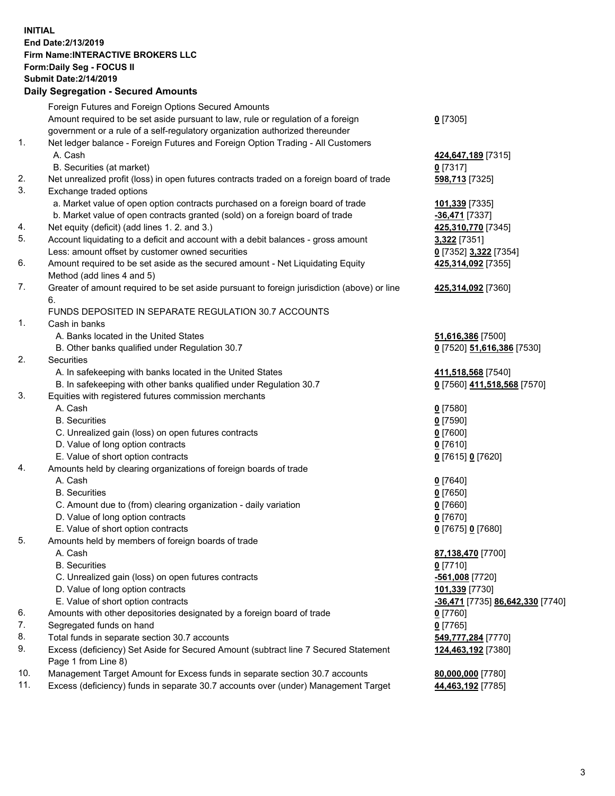## **INITIAL End Date:2/13/2019 Firm Name:INTERACTIVE BROKERS LLC Form:Daily Seg - FOCUS II Submit Date:2/14/2019 Daily Segregation - Secured Amounts**

|     | Daily Ocglegation - Occured Anioants                                                        |                                               |
|-----|---------------------------------------------------------------------------------------------|-----------------------------------------------|
|     | Foreign Futures and Foreign Options Secured Amounts                                         |                                               |
|     | Amount required to be set aside pursuant to law, rule or regulation of a foreign            | $0$ [7305]                                    |
|     | government or a rule of a self-regulatory organization authorized thereunder                |                                               |
| 1.  | Net ledger balance - Foreign Futures and Foreign Option Trading - All Customers             |                                               |
|     | A. Cash                                                                                     | 424,647,189 [7315]                            |
|     | B. Securities (at market)                                                                   | $0$ [7317]                                    |
| 2.  | Net unrealized profit (loss) in open futures contracts traded on a foreign board of trade   | 598,713 [7325]                                |
| 3.  | Exchange traded options                                                                     |                                               |
|     | a. Market value of open option contracts purchased on a foreign board of trade              | 101,339 [7335]                                |
|     | b. Market value of open contracts granted (sold) on a foreign board of trade                | -36,471 [7337]                                |
| 4.  | Net equity (deficit) (add lines 1.2. and 3.)                                                | 425,310,770 [7345]                            |
| 5.  | Account liquidating to a deficit and account with a debit balances - gross amount           | 3,322 [7351]                                  |
|     | Less: amount offset by customer owned securities                                            | 0 [7352] 3,322 [7354]                         |
| 6.  | Amount required to be set aside as the secured amount - Net Liquidating Equity              | 425,314,092 [7355]                            |
|     | Method (add lines 4 and 5)                                                                  |                                               |
| 7.  | Greater of amount required to be set aside pursuant to foreign jurisdiction (above) or line | 425,314,092 [7360]                            |
|     | 6.                                                                                          |                                               |
|     | FUNDS DEPOSITED IN SEPARATE REGULATION 30.7 ACCOUNTS                                        |                                               |
| 1.  | Cash in banks                                                                               |                                               |
|     | A. Banks located in the United States                                                       | 51,616,386 [7500]                             |
|     | B. Other banks qualified under Regulation 30.7                                              | 0 [7520] 51,616,386 [7530]                    |
| 2.  | Securities                                                                                  |                                               |
|     | A. In safekeeping with banks located in the United States                                   | 411,518,568 [7540]                            |
|     | B. In safekeeping with other banks qualified under Regulation 30.7                          | 0 [7560] 411,518,568 [7570]                   |
| 3.  | Equities with registered futures commission merchants                                       |                                               |
|     | A. Cash                                                                                     | $0$ [7580]                                    |
|     | <b>B.</b> Securities                                                                        | $0$ [7590]                                    |
|     | C. Unrealized gain (loss) on open futures contracts                                         | $0$ [7600]                                    |
|     | D. Value of long option contracts                                                           | $0$ [7610]                                    |
|     | E. Value of short option contracts                                                          | 0 [7615] 0 [7620]                             |
| 4.  | Amounts held by clearing organizations of foreign boards of trade                           |                                               |
|     | A. Cash                                                                                     | $0$ [7640]                                    |
|     | <b>B.</b> Securities                                                                        | $0$ [7650]                                    |
|     | C. Amount due to (from) clearing organization - daily variation                             | $0$ [7660]                                    |
|     | D. Value of long option contracts                                                           | $0$ [7670]                                    |
|     | E. Value of short option contracts                                                          | 0 [7675] 0 [7680]                             |
| 5.  | Amounts held by members of foreign boards of trade                                          |                                               |
|     | A. Cash                                                                                     | 87,138,470 [7700]                             |
|     | <b>B.</b> Securities                                                                        | $0$ [7710]                                    |
|     | C. Unrealized gain (loss) on open futures contracts                                         | -561,008 [7720]                               |
|     | D. Value of long option contracts                                                           | 101,339 [7730]                                |
|     | E. Value of short option contracts                                                          | <mark>-36,471</mark> [7735] 86,642,330 [7740] |
| 6.  | Amounts with other depositories designated by a foreign board of trade                      | 0 [7760]                                      |
| 7.  | Segregated funds on hand                                                                    | $0$ [7765]                                    |
| 8.  | Total funds in separate section 30.7 accounts                                               | 549,777,284 [7770]                            |
| 9.  | Excess (deficiency) Set Aside for Secured Amount (subtract line 7 Secured Statement         | 124,463,192 [7380]                            |
|     | Page 1 from Line 8)                                                                         |                                               |
| 10. | Management Target Amount for Excess funds in separate section 30.7 accounts                 | 80,000,000 [7780]                             |
| 11. | Excess (deficiency) funds in separate 30.7 accounts over (under) Management Target          | 44,463,192 [7785]                             |
|     |                                                                                             |                                               |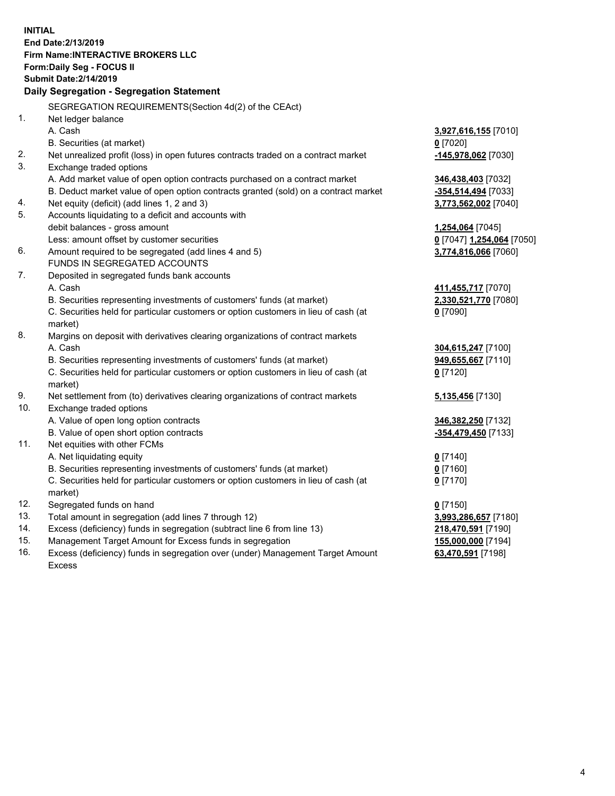**INITIAL End Date:2/13/2019 Firm Name:INTERACTIVE BROKERS LLC Form:Daily Seg - FOCUS II Submit Date:2/14/2019 Daily Segregation - Segregation Statement** SEGREGATION REQUIREMENTS(Section 4d(2) of the CEAct) 1. Net ledger balance A. Cash **3,927,616,155** [7010] B. Securities (at market) **0** [7020] 2. Net unrealized profit (loss) in open futures contracts traded on a contract market **-145,978,062** [7030] 3. Exchange traded options A. Add market value of open option contracts purchased on a contract market **346,438,403** [7032] B. Deduct market value of open option contracts granted (sold) on a contract market **-354,514,494** [7033] 4. Net equity (deficit) (add lines 1, 2 and 3) **3,773,562,002** [7040] 5. Accounts liquidating to a deficit and accounts with debit balances - gross amount **1,254,064** [7045] Less: amount offset by customer securities **0** [7047] **1,254,064** [7050] 6. Amount required to be segregated (add lines 4 and 5) **3,774,816,066** [7060] FUNDS IN SEGREGATED ACCOUNTS 7. Deposited in segregated funds bank accounts A. Cash **411,455,717** [7070] B. Securities representing investments of customers' funds (at market) **2,330,521,770** [7080] C. Securities held for particular customers or option customers in lieu of cash (at market) **0** [7090] 8. Margins on deposit with derivatives clearing organizations of contract markets A. Cash **304,615,247** [7100] B. Securities representing investments of customers' funds (at market) **949,655,667** [7110] C. Securities held for particular customers or option customers in lieu of cash (at market) **0** [7120] 9. Net settlement from (to) derivatives clearing organizations of contract markets **5,135,456** [7130] 10. Exchange traded options A. Value of open long option contracts **346,382,250** [7132] B. Value of open short option contracts **-354,479,450** [7133] 11. Net equities with other FCMs A. Net liquidating equity **0** [7140] B. Securities representing investments of customers' funds (at market) **0** [7160] C. Securities held for particular customers or option customers in lieu of cash (at market) **0** [7170] 12. Segregated funds on hand **0** [7150] 13. Total amount in segregation (add lines 7 through 12) **3,993,286,657** [7180] 14. Excess (deficiency) funds in segregation (subtract line 6 from line 13) **218,470,591** [7190] 15. Management Target Amount for Excess funds in segregation **155,000,000** [7194] 16. Excess (deficiency) funds in segregation over (under) Management Target Amount **63,470,591** [7198]

Excess